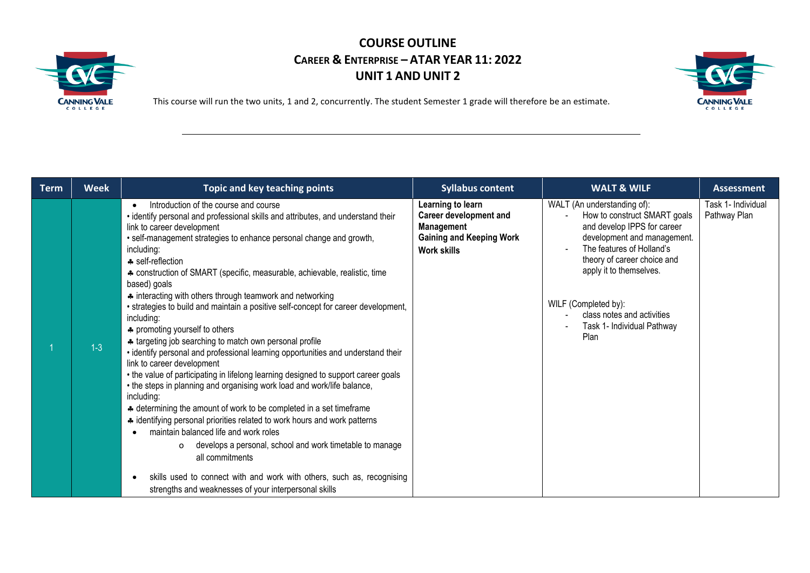



| <b>Term</b> | <b>Week</b> | <b>Topic and key teaching points</b>                                                                                                                                                                                                                                                                                                                                                                                                                                                                                                                                                                                                                                                                                                                                                                                                                                                                                                                                                                                                                                                                                                                                                                                                                                                                                                                                         | <b>Syllabus content</b>                                                                                            | <b>WALT &amp; WILF</b>                                                                                                                                                                                                                                                                                       | <b>Assessment</b>                  |
|-------------|-------------|------------------------------------------------------------------------------------------------------------------------------------------------------------------------------------------------------------------------------------------------------------------------------------------------------------------------------------------------------------------------------------------------------------------------------------------------------------------------------------------------------------------------------------------------------------------------------------------------------------------------------------------------------------------------------------------------------------------------------------------------------------------------------------------------------------------------------------------------------------------------------------------------------------------------------------------------------------------------------------------------------------------------------------------------------------------------------------------------------------------------------------------------------------------------------------------------------------------------------------------------------------------------------------------------------------------------------------------------------------------------------|--------------------------------------------------------------------------------------------------------------------|--------------------------------------------------------------------------------------------------------------------------------------------------------------------------------------------------------------------------------------------------------------------------------------------------------------|------------------------------------|
|             | $1-3$       | Introduction of the course and course<br>$\bullet$<br>• identify personal and professional skills and attributes, and understand their<br>link to career development<br>• self-management strategies to enhance personal change and growth,<br>including:<br>♣ self-reflection<br>* construction of SMART (specific, measurable, achievable, realistic, time<br>based) goals<br>* interacting with others through teamwork and networking<br>• strategies to build and maintain a positive self-concept for career development,<br>including:<br>* promoting yourself to others<br>* targeting job searching to match own personal profile<br>• identify personal and professional learning opportunities and understand their<br>link to career development<br>• the value of participating in lifelong learning designed to support career goals<br>• the steps in planning and organising work load and work/life balance,<br>including:<br>* determining the amount of work to be completed in a set timeframe<br>* identifying personal priorities related to work hours and work patterns<br>maintain balanced life and work roles<br>develops a personal, school and work timetable to manage<br>0<br>all commitments<br>skills used to connect with and work with others, such as, recognising<br>$\bullet$<br>strengths and weaknesses of your interpersonal skills | Learning to learn<br><b>Career development and</b><br>Management<br><b>Gaining and Keeping Work</b><br>Work skills | WALT (An understanding of):<br>How to construct SMART goals<br>and develop IPPS for career<br>development and management.<br>The features of Holland's<br>theory of career choice and<br>apply it to themselves.<br>WILF (Completed by):<br>class notes and activities<br>Task 1- Individual Pathway<br>Plan | Task 1- Individual<br>Pathway Plan |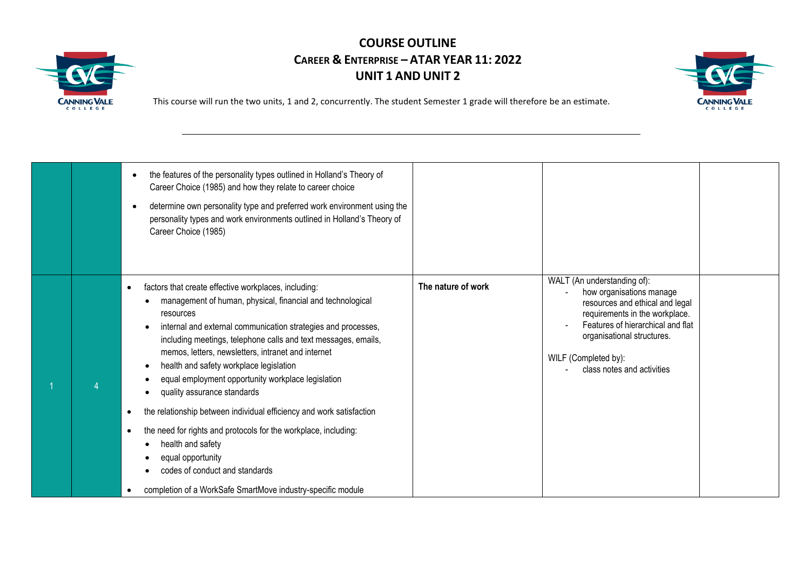



|  | the features of the personality types outlined in Holland's Theory of<br>Career Choice (1985) and how they relate to career choice<br>determine own personality type and preferred work environment using the<br>personality types and work environments outlined in Holland's Theory of<br>Career Choice (1985)                                                                                                                                                                                                                                                                                                                                                                                                                                                                   |                    |                                                                                                                                                                                                                                                       |  |
|--|------------------------------------------------------------------------------------------------------------------------------------------------------------------------------------------------------------------------------------------------------------------------------------------------------------------------------------------------------------------------------------------------------------------------------------------------------------------------------------------------------------------------------------------------------------------------------------------------------------------------------------------------------------------------------------------------------------------------------------------------------------------------------------|--------------------|-------------------------------------------------------------------------------------------------------------------------------------------------------------------------------------------------------------------------------------------------------|--|
|  | factors that create effective workplaces, including:<br>٠<br>management of human, physical, financial and technological<br>resources<br>internal and external communication strategies and processes,<br>including meetings, telephone calls and text messages, emails,<br>memos, letters, newsletters, intranet and internet<br>health and safety workplace legislation<br>equal employment opportunity workplace legislation<br>quality assurance standards<br>the relationship between individual efficiency and work satisfaction<br>٠<br>the need for rights and protocols for the workplace, including:<br>$\bullet$<br>health and safety<br>equal opportunity<br>codes of conduct and standards<br>completion of a WorkSafe SmartMove industry-specific module<br>$\bullet$ | The nature of work | WALT (An understanding of):<br>how organisations manage<br>resources and ethical and legal<br>requirements in the workplace.<br>Features of hierarchical and flat<br>organisational structures.<br>WILF (Completed by):<br>class notes and activities |  |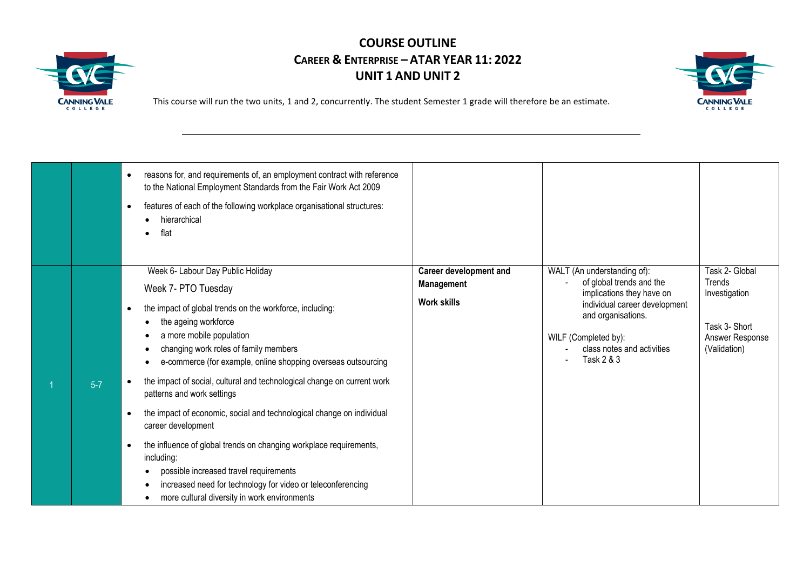



|         | reasons for, and requirements of, an employment contract with reference<br>$\bullet$<br>to the National Employment Standards from the Fair Work Act 2009<br>features of each of the following workplace organisational structures:<br>$\bullet$<br>hierarchical<br>flat                                                                                                                                                                                                                                                                                                                                                                                                                                                                                                                                               |                                                                   |                                                                                                                                                                                                                 |                                                                                               |
|---------|-----------------------------------------------------------------------------------------------------------------------------------------------------------------------------------------------------------------------------------------------------------------------------------------------------------------------------------------------------------------------------------------------------------------------------------------------------------------------------------------------------------------------------------------------------------------------------------------------------------------------------------------------------------------------------------------------------------------------------------------------------------------------------------------------------------------------|-------------------------------------------------------------------|-----------------------------------------------------------------------------------------------------------------------------------------------------------------------------------------------------------------|-----------------------------------------------------------------------------------------------|
| $5 - 7$ | Week 6- Labour Day Public Holiday<br>Week 7- PTO Tuesday<br>the impact of global trends on the workforce, including:<br>$\bullet$<br>the ageing workforce<br>a more mobile population<br>$\bullet$<br>changing work roles of family members<br>$\bullet$<br>e-commerce (for example, online shopping overseas outsourcing<br>the impact of social, cultural and technological change on current work<br>patterns and work settings<br>the impact of economic, social and technological change on individual<br>$\bullet$<br>career development<br>the influence of global trends on changing workplace requirements,<br>$\bullet$<br>including:<br>possible increased travel requirements<br>increased need for technology for video or teleconferencing<br>more cultural diversity in work environments<br>$\bullet$ | <b>Career development and</b><br>Management<br><b>Work skills</b> | WALT (An understanding of):<br>of global trends and the<br>implications they have on<br>individual career development<br>and organisations.<br>WILF (Completed by):<br>class notes and activities<br>Task 2 & 3 | Task 2- Global<br>Trends<br>Investigation<br>Task 3- Short<br>Answer Response<br>(Validation) |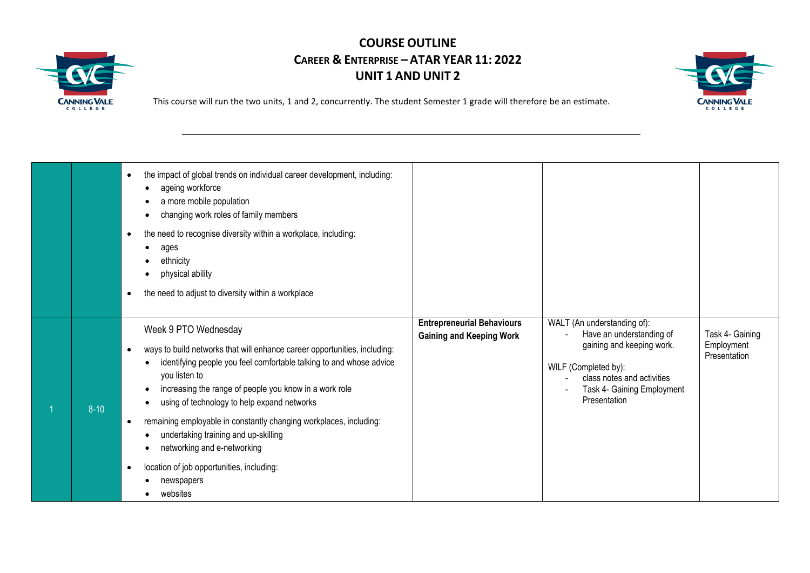



|          | the impact of global trends on individual career development, including:<br>ageing workforce<br>a more mobile population<br>changing work roles of family members<br>the need to recognise diversity within a workplace, including:<br>ages<br>ethnicity<br>physical ability<br>the need to adjust to diversity within a workplace                                                                                                                                                                                          |                                                                      |                                                                                                                                                                                          |                                               |
|----------|-----------------------------------------------------------------------------------------------------------------------------------------------------------------------------------------------------------------------------------------------------------------------------------------------------------------------------------------------------------------------------------------------------------------------------------------------------------------------------------------------------------------------------|----------------------------------------------------------------------|------------------------------------------------------------------------------------------------------------------------------------------------------------------------------------------|-----------------------------------------------|
| $8 - 10$ | Week 9 PTO Wednesday<br>ways to build networks that will enhance career opportunities, including:<br>identifying people you feel comfortable talking to and whose advice<br>you listen to<br>increasing the range of people you know in a work role<br>using of technology to help expand networks<br>remaining employable in constantly changing workplaces, including:<br>٠<br>undertaking training and up-skilling<br>networking and e-networking<br>location of job opportunities, including:<br>newspapers<br>websites | <b>Entrepreneurial Behaviours</b><br><b>Gaining and Keeping Work</b> | WALT (An understanding of):<br>Have an understanding of<br>gaining and keeping work.<br>WILF (Completed by):<br>class notes and activities<br>Task 4- Gaining Employment<br>Presentation | Task 4- Gaining<br>Employment<br>Presentation |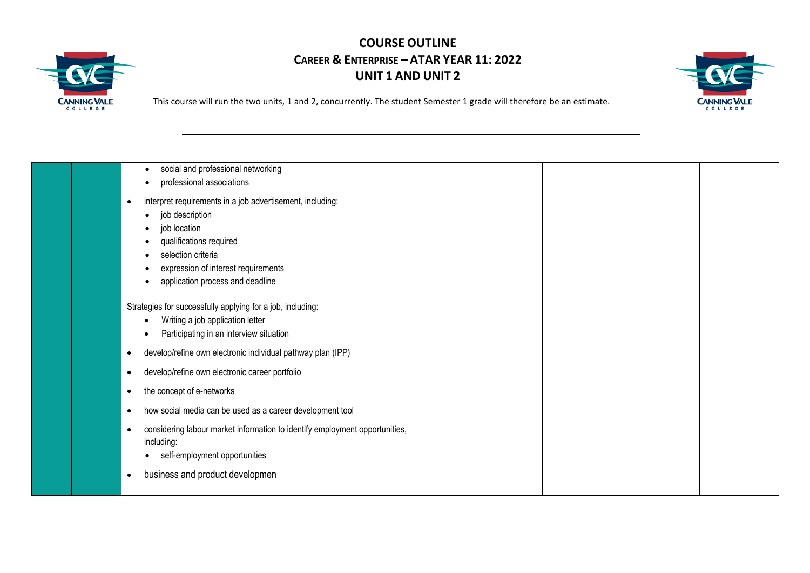



| social and professional networking<br>professional associations                                                                                                                                                                       |  |
|---------------------------------------------------------------------------------------------------------------------------------------------------------------------------------------------------------------------------------------|--|
| interpret requirements in a job advertisement, including:<br>$\bullet$<br>job description<br>job location<br>qualifications required<br>selection criteria<br>expression of interest requirements<br>application process and deadline |  |
| Strategies for successfully applying for a job, including:<br>Writing a job application letter<br>Participating in an interview situation                                                                                             |  |
| develop/refine own electronic individual pathway plan (IPP)                                                                                                                                                                           |  |
| develop/refine own electronic career portfolio<br>٠                                                                                                                                                                                   |  |
| the concept of e-networks                                                                                                                                                                                                             |  |
| how social media can be used as a career development tool<br>٠                                                                                                                                                                        |  |
| considering labour market information to identify employment opportunities,<br>$\bullet$<br>including:<br>self-employment opportunities                                                                                               |  |
| business and product developmen                                                                                                                                                                                                       |  |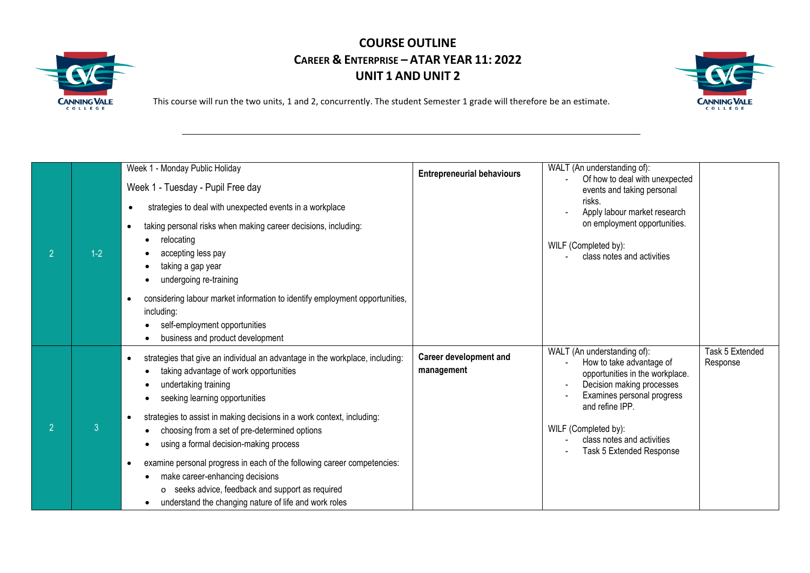



|                |                | Week 1 - Monday Public Holiday                                                            | <b>Entrepreneurial behaviours</b> | WALT (An understanding of):                                                              |                             |
|----------------|----------------|-------------------------------------------------------------------------------------------|-----------------------------------|------------------------------------------------------------------------------------------|-----------------------------|
|                |                | Week 1 - Tuesday - Pupil Free day                                                         |                                   | Of how to deal with unexpected<br>events and taking personal                             |                             |
|                |                | strategies to deal with unexpected events in a workplace                                  |                                   | risks.<br>Apply labour market research                                                   |                             |
|                |                | taking personal risks when making career decisions, including:                            |                                   | on employment opportunities.                                                             |                             |
| $\overline{2}$ | $1-2$          | relocating<br>accepting less pay                                                          |                                   | WILF (Completed by):                                                                     |                             |
|                |                | taking a gap year                                                                         |                                   | class notes and activities                                                               |                             |
|                |                | undergoing re-training                                                                    |                                   |                                                                                          |                             |
|                |                | considering labour market information to identify employment opportunities,<br>including: |                                   |                                                                                          |                             |
|                |                | self-employment opportunities                                                             |                                   |                                                                                          |                             |
|                |                | business and product development                                                          |                                   |                                                                                          |                             |
|                |                | strategies that give an individual an advantage in the workplace, including:              | <b>Career development and</b>     | WALT (An understanding of):<br>How to take advantage of                                  | Task 5 Extended<br>Response |
|                |                | taking advantage of work opportunities<br>undertaking training                            | management                        | opportunities in the workplace.<br>Decision making processes<br>$\overline{\phantom{a}}$ |                             |
|                |                | seeking learning opportunities                                                            |                                   | Examines personal progress<br>and refine IPP.                                            |                             |
|                |                | strategies to assist in making decisions in a work context, including:                    |                                   |                                                                                          |                             |
|                | $\overline{3}$ | choosing from a set of pre-determined options                                             |                                   | WILF (Completed by):<br>class notes and activities                                       |                             |
|                |                | using a formal decision-making process                                                    |                                   | Task 5 Extended Response                                                                 |                             |
|                |                | examine personal progress in each of the following career competencies:                   |                                   |                                                                                          |                             |
|                |                | make career-enhancing decisions                                                           |                                   |                                                                                          |                             |
|                |                | seeks advice, feedback and support as required<br>0                                       |                                   |                                                                                          |                             |
|                |                | understand the changing nature of life and work roles                                     |                                   |                                                                                          |                             |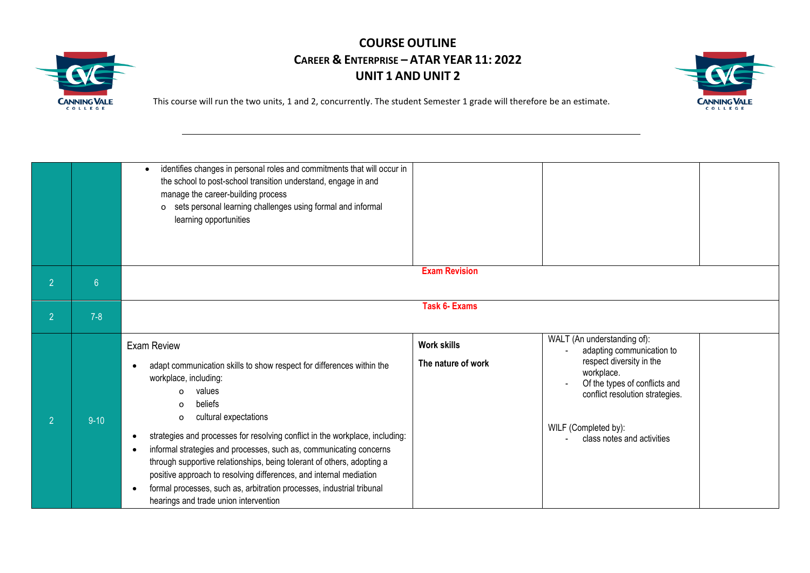



|                |          | identifies changes in personal roles and commitments that will occur in<br>the school to post-school transition understand, engage in and<br>manage the career-building process<br>o sets personal learning challenges using formal and informal<br>learning opportunities                                                                                                                                                                                                                                                                                                                                       |                                          |                                                                                                                                                                                                                              |
|----------------|----------|------------------------------------------------------------------------------------------------------------------------------------------------------------------------------------------------------------------------------------------------------------------------------------------------------------------------------------------------------------------------------------------------------------------------------------------------------------------------------------------------------------------------------------------------------------------------------------------------------------------|------------------------------------------|------------------------------------------------------------------------------------------------------------------------------------------------------------------------------------------------------------------------------|
| $\overline{2}$ | 6        |                                                                                                                                                                                                                                                                                                                                                                                                                                                                                                                                                                                                                  | <b>Exam Revision</b>                     |                                                                                                                                                                                                                              |
| $\overline{2}$ | $7 - 8$  |                                                                                                                                                                                                                                                                                                                                                                                                                                                                                                                                                                                                                  | <b>Task 6- Exams</b>                     |                                                                                                                                                                                                                              |
| $\overline{2}$ | $9 - 10$ | Exam Review<br>adapt communication skills to show respect for differences within the<br>workplace, including:<br>values<br>$\Omega$<br>beliefs<br>$\Omega$<br>cultural expectations<br>o<br>strategies and processes for resolving conflict in the workplace, including:<br>informal strategies and processes, such as, communicating concerns<br>through supportive relationships, being tolerant of others, adopting a<br>positive approach to resolving differences, and internal mediation<br>formal processes, such as, arbitration processes, industrial tribunal<br>hearings and trade union intervention | <b>Work skills</b><br>The nature of work | WALT (An understanding of):<br>adapting communication to<br>respect diversity in the<br>workplace.<br>Of the types of conflicts and<br>conflict resolution strategies.<br>WILF (Completed by):<br>class notes and activities |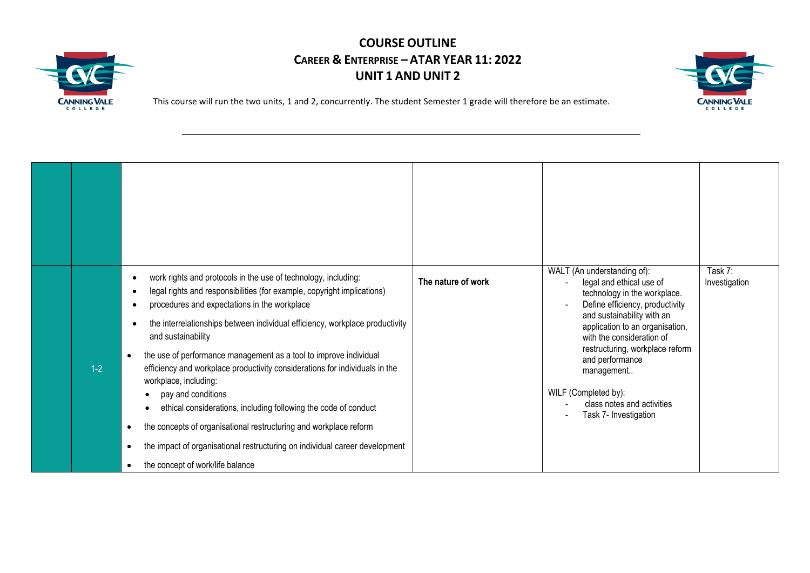



| $1-2$ | work rights and protocols in the use of technology, including:<br>legal rights and responsibilities (for example, copyright implications)<br>procedures and expectations in the workplace<br>the interrelationships between individual efficiency, workplace productivity<br>and sustainability<br>the use of performance management as a tool to improve individual<br>$\bullet$<br>efficiency and workplace productivity considerations for individuals in the<br>workplace, including:<br>pay and conditions<br>ethical considerations, including following the code of conduct<br>the concepts of organisational restructuring and workplace reform<br>$\bullet$<br>the impact of organisational restructuring on individual career development<br>$\bullet$<br>the concept of work/life balance<br>$\bullet$ | The nature of work | WALT (An understanding of):<br>legal and ethical use of<br>technology in the workplace.<br>Define efficiency, productivity<br>and sustainability with an<br>application to an organisation,<br>with the consideration of<br>restructuring, workplace reform<br>and performance<br>management<br>WILF (Completed by):<br>class notes and activities<br>Task 7- Investigation | Task 7:<br>Investigation |
|-------|-------------------------------------------------------------------------------------------------------------------------------------------------------------------------------------------------------------------------------------------------------------------------------------------------------------------------------------------------------------------------------------------------------------------------------------------------------------------------------------------------------------------------------------------------------------------------------------------------------------------------------------------------------------------------------------------------------------------------------------------------------------------------------------------------------------------|--------------------|-----------------------------------------------------------------------------------------------------------------------------------------------------------------------------------------------------------------------------------------------------------------------------------------------------------------------------------------------------------------------------|--------------------------|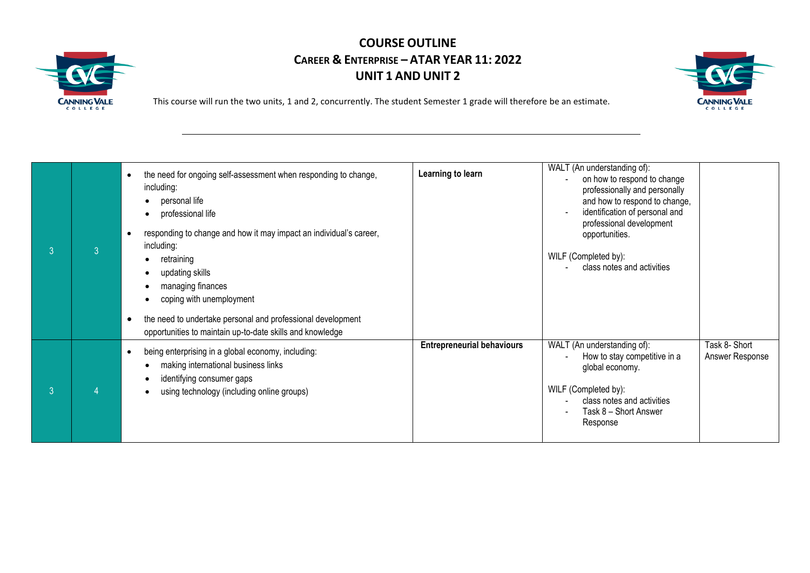



| 3 | $\overline{3}$ | the need for ongoing self-assessment when responding to change,<br>including:<br>personal life<br>$\bullet$<br>professional life<br>$\bullet$<br>responding to change and how it may impact an individual's career,<br>including:<br>retraining<br>$\bullet$<br>updating skills<br>managing finances<br>coping with unemployment | Learning to learn                 | WALT (An understanding of):<br>on how to respond to change<br>professionally and personally<br>and how to respond to change,<br>identification of personal and<br>professional development<br>opportunities.<br>WILF (Completed by):<br>class notes and activities |                                  |
|---|----------------|----------------------------------------------------------------------------------------------------------------------------------------------------------------------------------------------------------------------------------------------------------------------------------------------------------------------------------|-----------------------------------|--------------------------------------------------------------------------------------------------------------------------------------------------------------------------------------------------------------------------------------------------------------------|----------------------------------|
|   |                | the need to undertake personal and professional development<br>$\bullet$<br>opportunities to maintain up-to-date skills and knowledge                                                                                                                                                                                            |                                   |                                                                                                                                                                                                                                                                    |                                  |
| 3 | 4              | being enterprising in a global economy, including:<br>$\bullet$<br>making international business links<br>$\bullet$<br>identifying consumer gaps<br>$\bullet$<br>using technology (including online groups)<br>$\bullet$                                                                                                         | <b>Entrepreneurial behaviours</b> | WALT (An understanding of):<br>How to stay competitive in a<br>global economy.<br>WILF (Completed by):<br>class notes and activities<br>Task 8 - Short Answer<br>Response                                                                                          | Task 8- Short<br>Answer Response |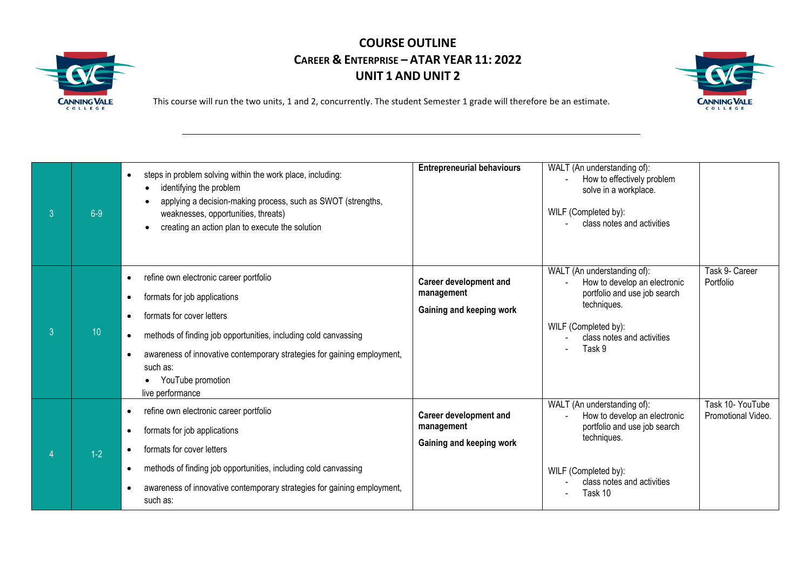



| $\mathbf{3}$   | $6-9$ | steps in problem solving within the work place, including:<br>$\bullet$<br>identifying the problem<br>applying a decision-making process, such as SWOT (strengths,<br>$\bullet$<br>weaknesses, opportunities, threats)<br>creating an action plan to execute the solution                                                                                                    | <b>Entrepreneurial behaviours</b>                                       | WALT (An understanding of):<br>How to effectively problem<br>solve in a workplace.<br>WILF (Completed by):<br>class notes and activities                                    |                                        |
|----------------|-------|------------------------------------------------------------------------------------------------------------------------------------------------------------------------------------------------------------------------------------------------------------------------------------------------------------------------------------------------------------------------------|-------------------------------------------------------------------------|-----------------------------------------------------------------------------------------------------------------------------------------------------------------------------|----------------------------------------|
| 3 <sup>°</sup> | 10    | refine own electronic career portfolio<br>$\bullet$<br>formats for job applications<br>$\bullet$<br>formats for cover letters<br>$\bullet$<br>methods of finding job opportunities, including cold canvassing<br>$\bullet$<br>awareness of innovative contemporary strategies for gaining employment,<br>$\bullet$<br>such as:<br>YouTube promotion<br>٠<br>live performance | <b>Career development and</b><br>management<br>Gaining and keeping work | WALT (An understanding of):<br>How to develop an electronic<br>portfolio and use job search<br>techniques.<br>WILF (Completed by):<br>class notes and activities<br>Task 9  | Task 9- Career<br>Portfolio            |
|                | $1-2$ | refine own electronic career portfolio<br>$\bullet$<br>formats for job applications<br>$\bullet$<br>formats for cover letters<br>$\bullet$<br>methods of finding job opportunities, including cold canvassing<br>$\bullet$<br>awareness of innovative contemporary strategies for gaining employment,<br>$\bullet$<br>such as:                                               | <b>Career development and</b><br>management<br>Gaining and keeping work | WALT (An understanding of):<br>How to develop an electronic<br>portfolio and use job search<br>techniques.<br>WILF (Completed by):<br>class notes and activities<br>Task 10 | Task 10- YouTube<br>Promotional Video. |